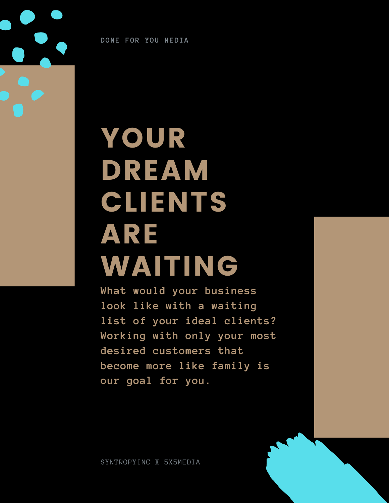**DONE FOR YOU MEDIA**

# YOUR DREAM CLIENTS ARE WAITING

**What would your business look like with a waiting list of your ideal clients? Working with only your most desired customers that become more like family is our goal for you.**

SYNTROPYINC X 5X5MEDIA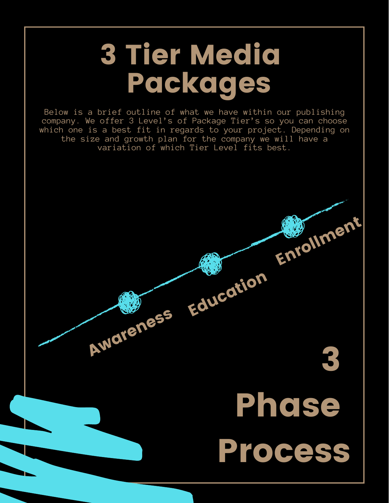## 3 Tier Media Packages

Below is a brief outline of what we have within our publishing company. We offer 3 Level's of Package Tier's so you can choose which one is a best fit in regards to your project. Depending on the size and growth plan for the company we will have a variation of which Tier Level fits best.

Awareness Education

3

Enrollment

Phase

Process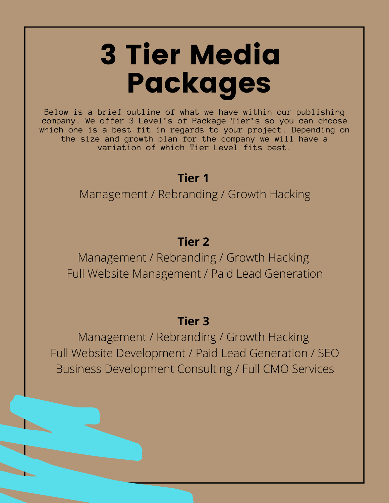# 3 Tier Media Packages

Below is a brief outline of what we have within our publishing company. We offer 3 Level's of Package Tier's so you can choose which one is a best fit in regards to your project. Depending on the size and growth plan for the company we will have a variation of which Tier Level fits best.

### **Tier 1**

Management / Rebranding / Growth Hacking

### **Tier 2**

Management / Rebranding / Growth Hacking Full Website Management / Paid Lead Generation

#### **Tier 3**

Management / Rebranding / Growth Hacking Full Website Development / Paid Lead Generation / SEO Business Development Consulting / Full CMO Services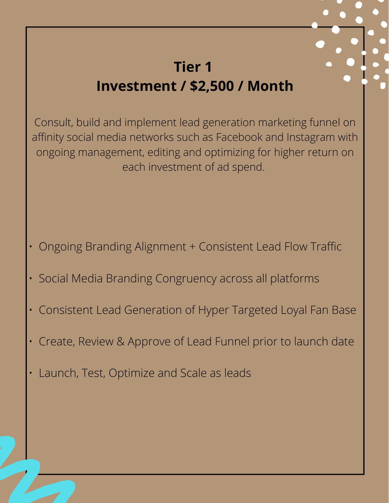### **Tier 1 Investment / \$2,500 / Month**

Consult, build and implement lead generation marketing funnel on affinity social media networks such as Facebook and Instagram with ongoing management, editing and optimizing for higher return on each investment of ad spend.

- Ongoing Branding Alignment + Consistent Lead Flow Traffic
- Social Media Branding Congruency across all platforms
- Consistent Lead Generation of Hyper Targeted Loyal Fan Base
- Create, Review & Approve of Lead Funnel prior to launch date
- Launch, Test, Optimize and Scale as leads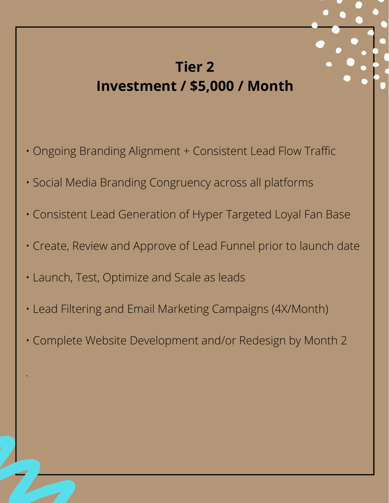### **Tier 2 Investment / \$5,000 / Month**

- Ongoing Branding Alignment + Consistent Lead Flow Traffic
- Social Media Branding Congruency across all platforms
- Consistent Lead Generation of Hyper Targeted Loyal Fan Base
- Create, Review and Approve of Lead Funnel prior to launch date
- Launch, Test, Optimize and Scale as leads

.

- Lead Filtering and Email Marketing Campaigns (4X/Month)
- Complete Website Development and/or Redesign by Month 2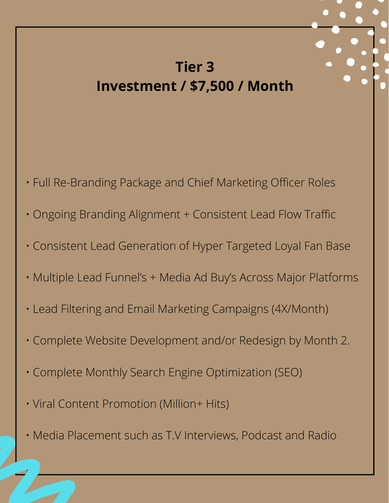### **Tier 3 Investment / \$7,500 / Month**

- Full Re-Branding Package and Chief Marketing Officer Roles
- Ongoing Branding Alignment + Consistent Lead Flow Traffic
- Consistent Lead Generation of Hyper Targeted Loyal Fan Base
- Multiple Lead Funnel's + Media Ad Buy's Across Major Platforms
- Lead Filtering and Email Marketing Campaigns (4X/Month)
- Complete Website Development and/or Redesign by Month 2.
- Complete Monthly Search Engine Optimization (SEO)
- Viral Content Promotion (Million+ Hits)

.

• Media Placement such as T.V Interviews, Podcast and Radio